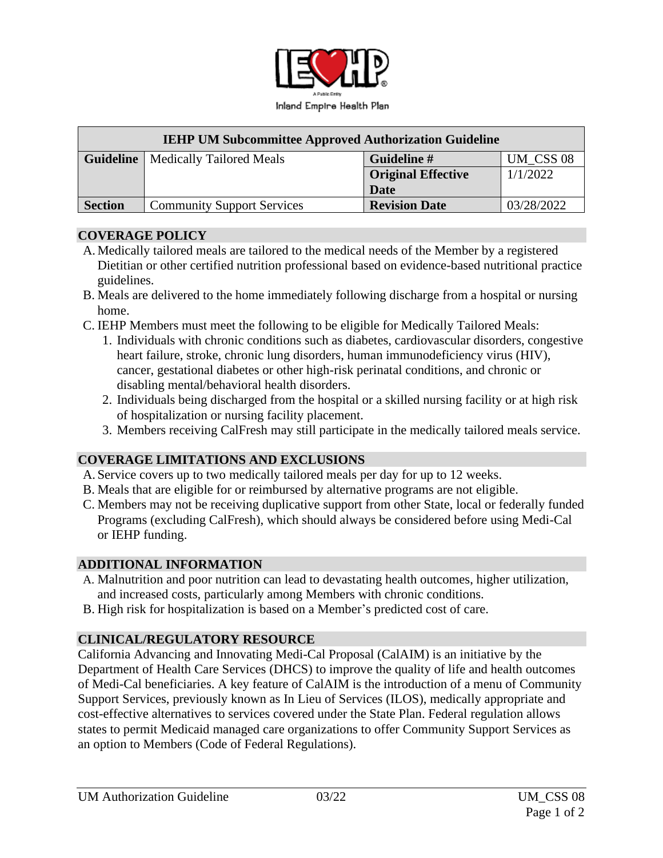

| <b>IEHP UM Subcommittee Approved Authorization Guideline</b> |                                             |                           |            |
|--------------------------------------------------------------|---------------------------------------------|---------------------------|------------|
|                                                              | <b>Guideline</b>   Medically Tailored Meals | Guideline #               | UM CSS 08  |
|                                                              |                                             | <b>Original Effective</b> | 1/1/2022   |
|                                                              |                                             | Date                      |            |
| <b>Section</b>                                               | <b>Community Support Services</b>           | <b>Revision Date</b>      | 03/28/2022 |

## **COVERAGE POLICY**

- A. Medically tailored meals are tailored to the medical needs of the Member by a registered Dietitian or other certified nutrition professional based on evidence-based nutritional practice guidelines.
- B. Meals are delivered to the home immediately following discharge from a hospital or nursing home.
- C. IEHP Members must meet the following to be eligible for Medically Tailored Meals:
	- 1. Individuals with chronic conditions such as diabetes, cardiovascular disorders, congestive heart failure, stroke, chronic lung disorders, human immunodeficiency virus (HIV), cancer, gestational diabetes or other high-risk perinatal conditions, and chronic or disabling mental/behavioral health disorders.
	- 2. Individuals being discharged from the hospital or a skilled nursing facility or at high risk of hospitalization or nursing facility placement.
	- 3. Members receiving CalFresh may still participate in the medically tailored meals service.

# **COVERAGE LIMITATIONS AND EXCLUSIONS**

- A. Service covers up to two medically tailored meals per day for up to 12 weeks.
- B. Meals that are eligible for or reimbursed by alternative programs are not eligible.
- C. Members may not be receiving duplicative support from other State, local or federally funded Programs (excluding CalFresh), which should always be considered before using Medi-Cal or IEHP funding.

## **ADDITIONAL INFORMATION**

- A. Malnutrition and poor nutrition can lead to devastating health outcomes, higher utilization, and increased costs, particularly among Members with chronic conditions.
- B. High risk for hospitalization is based on a Member's predicted cost of care.

# **CLINICAL/REGULATORY RESOURCE**

California Advancing and Innovating Medi-Cal Proposal (CalAIM) is an initiative by the Department of Health Care Services (DHCS) to improve the quality of life and health outcomes of Medi-Cal beneficiaries. A key feature of CalAIM is the introduction of a menu of Community Support Services, previously known as In Lieu of Services (ILOS), medically appropriate and cost-effective alternatives to services covered under the State Plan. Federal regulation allows states to permit Medicaid managed care organizations to offer Community Support Services as an option to Members (Code of Federal Regulations).